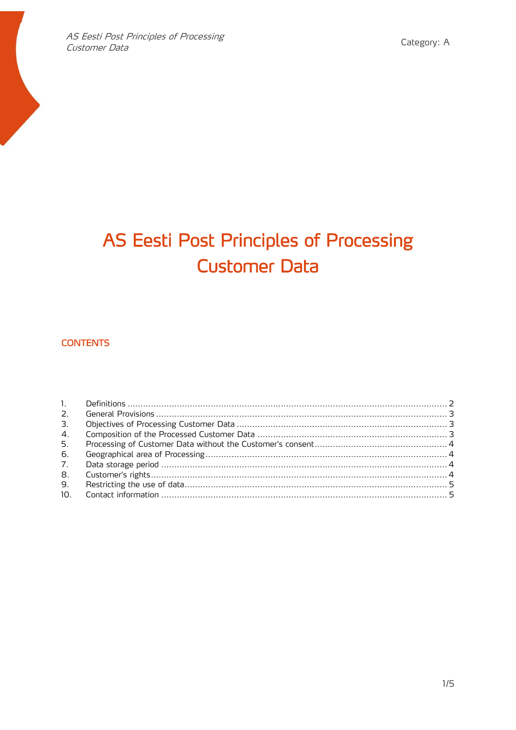# AS Eesti Post Principles of Processing **Customer Data**

# **CONTENTS**

| 1.              |  |
|-----------------|--|
|                 |  |
| 3 <sub>1</sub>  |  |
| 4.              |  |
| 5.              |  |
| 6.              |  |
| 7 <sub>1</sub>  |  |
| 8.              |  |
| 9.              |  |
| 10 <sub>1</sub> |  |
|                 |  |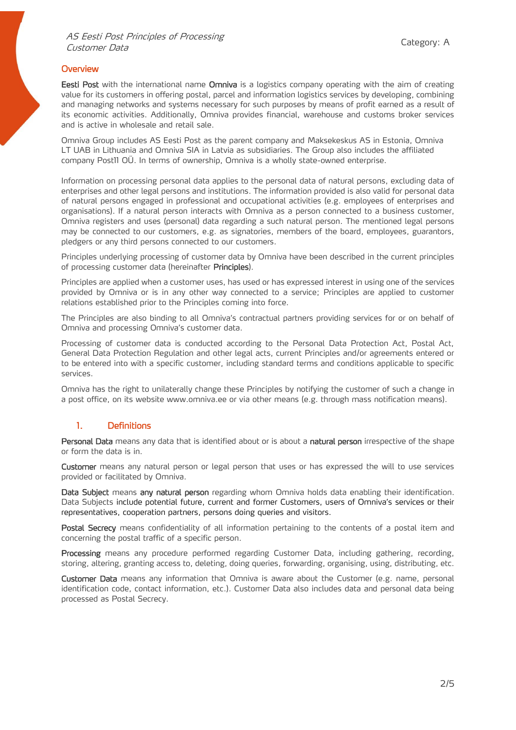#### **Overview**

**Eesti Post** with the international name **Omniva** is a logistics company operating with the aim of creating value for its customers in offering postal, parcel and information logistics services by developing, combining and managing networks and systems necessary for such purposes by means of profit earned as a result of its economic activities. Additionally, Omniva provides financial, warehouse and customs broker services and is active in wholesale and retail sale.

Omniva Group includes AS Eesti Post as the parent company and [Maksekeskus AS](https://maksekeskus.ee/) in Estonia, [Omniva](https://www.omniva.lt/)  [LT UAB](https://www.omniva.lt/) in Lithuania and [Omniva SIA](https://www.omniva.lv/) in Latvia as subsidiaries. The Group also includes the affiliated company [Post11 OÜ](http://www.post11.com/). In terms of ownership, Omniva is a wholly state-owned enterprise.

Information on processing personal data applies to the personal data of natural persons, excluding data of enterprises and other legal persons and institutions. The information provided is also valid for personal data of natural persons engaged in professional and occupational activities (e.g. employees of enterprises and organisations). If a natural person interacts with Omniva as a person connected to a business customer, Omniva registers and uses (personal) data regarding a such natural person. The mentioned legal persons may be connected to our customers, e.g. as signatories, members of the board, employees, guarantors, pledgers or any third persons connected to our customers.

Principles underlying processing of customer data by Omniva have been described in the current principles of processing customer data (hereinafter Principles).

Principles are applied when a customer uses, has used or has expressed interest in using one of the services provided by Omniva or is in any other way connected to a service; Principles are applied to customer relations established prior to the Principles coming into force.

The Principles are also binding to all Omniva's contractual partners providing services for or on behalf of Omniva and processing Omniva's customer data.

Processing of customer data is conducted according to the Personal Data Protection Act, Postal Act, General Data Protection Regulation and other legal acts, current Principles and/or agreements entered or to be entered into with a specific customer, including standard terms and conditions applicable to specific services.

Omniva has the right to unilaterally change these Principles by notifying the customer of such a change in a post office, on its website www.omniva.ee or via other means (e.g. through mass notification means).

#### <span id="page-1-0"></span>1. Definitions

Personal Data means any data that is identified about or is about a natural person irrespective of the shape or form the data is in.

Customer means any natural person or legal person that uses or has expressed the will to use services provided or facilitated by Omniva.

Data Subject means any natural person regarding whom Omniva holds data enabling their identification. Data Subjects include potential future, current and former Customers, users of Omniva's services or their representatives, cooperation partners, persons doing queries and visitors.

Postal Secrecy means confidentiality of all information pertaining to the contents of a postal item and concerning the postal traffic of a specific person.

Processing means any procedure performed regarding Customer Data, including gathering, recording, storing, altering, granting access to, deleting, doing queries, forwarding, organising, using, distributing, etc.

Customer Data means any information that Omniva is aware about the Customer (e.g. name, personal identification code, contact information, etc.). Customer Data also includes data and personal data being processed as Postal Secrecy.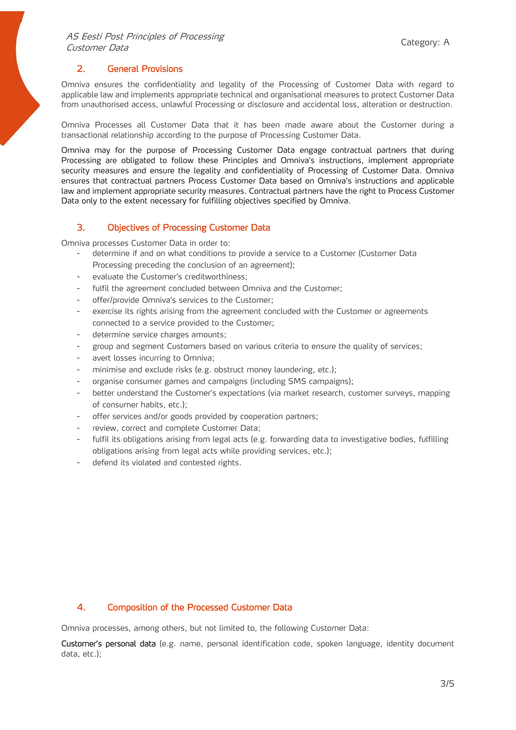# <span id="page-2-0"></span>2. General Provisions

Omniva ensures the confidentiality and legality of the Processing of Customer Data with regard to applicable law and implements appropriate technical and organisational measures to protect Customer Data from unauthorised access, unlawful Processing or disclosure and accidental loss, alteration or destruction.

Omniva Processes all Customer Data that it has been made aware about the Customer during a transactional relationship according to the purpose of Processing Customer Data.

Omniva may for the purpose of Processing Customer Data engage contractual partners that during Processing are obligated to follow these Principles and Omniva's instructions, implement appropriate security measures and ensure the legality and confidentiality of Processing of Customer Data. Omniva ensures that contractual partners Process Customer Data based on Omniva's instructions and applicable law and implement appropriate security measures. Contractual partners have the right to Process Customer Data only to the extent necessary for fulfilling objectives specified by Omniva.

#### <span id="page-2-1"></span>3. Objectives of Processing Customer Data

Omniva processes Customer Data in order to:

- determine if and on what conditions to provide a service to a Customer (Customer Data Processing preceding the conclusion of an agreement);
- evaluate the Customer's creditworthiness;
- fulfil the agreement concluded between Omniva and the Customer;
- offer/provide Omniva's services to the Customer;
- exercise its rights arising from the agreement concluded with the Customer or agreements connected to a service provided to the Customer;
- determine service charges amounts;
- group and segment Customers based on various criteria to ensure the quality of services;
- avert losses incurring to Omniva;
- minimise and exclude risks (e.g. obstruct money laundering, etc.);
- organise consumer games and campaigns (including SMS campaigns);
- better understand the Customer's expectations (via market research, customer surveys, mapping of consumer habits, etc.);
- offer services and/or goods provided by cooperation partners;
- review, correct and complete Customer Data;
- fulfil its obligations arising from legal acts (e.g. forwarding data to investigative bodies, fulfilling obligations arising from legal acts while providing services, etc.);
- defend its violated and contested rights.

### <span id="page-2-2"></span>4. Composition of the Processed Customer Data

Omniva processes, among others, but not limited to, the following Customer Data:

Customer's personal data (e.g. name, personal identification code, spoken language, identity document data, etc.);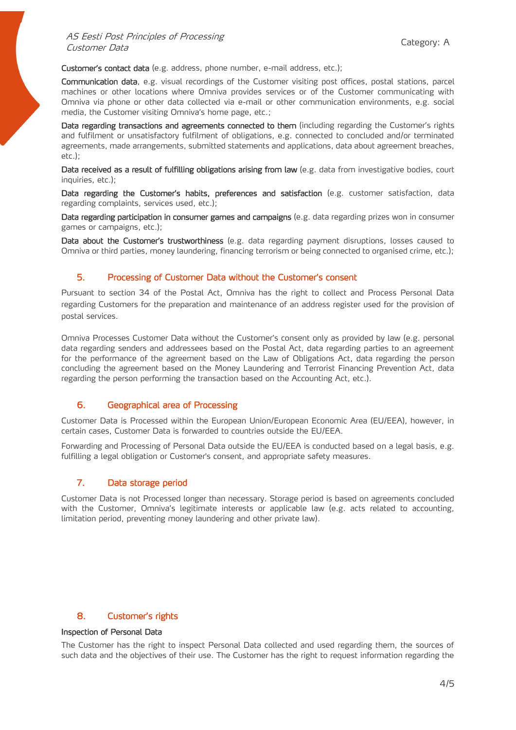Customer's contact data (e.g. address, phone number, e-mail address, etc.);

Communication data, e.g. visual recordings of the Customer visiting post offices, postal stations, parcel machines or other locations where Omniva provides services or of the Customer communicating with Omniva via phone or other data collected via e-mail or other communication environments, e.g. social media, the Customer visiting Omniva's home page, etc.;

Data regarding transactions and agreements connected to them (including regarding the Customer's rights and fulfilment or unsatisfactory fulfilment of obligations, e.g. connected to concluded and/or terminated agreements, made arrangements, submitted statements and applications, data about agreement breaches, etc.);

Data received as a result of fulfilling obligations arising from law (e.g. data from investigative bodies, court inquiries, etc.);

Data regarding the Customer's habits, preferences and satisfaction (e.g. customer satisfaction, data regarding complaints, services used, etc.);

Data regarding participation in consumer games and campaigns (e.g. data regarding prizes won in consumer games or campaigns, etc.);

Data about the Customer's trustworthiness (e.g. data regarding payment disruptions, losses caused to Omniva or third parties, money laundering, financing terrorism or being connected to organised crime, etc.);

#### <span id="page-3-0"></span>5. Processing of Customer Data without the Customer's consent

Pursuant to section 34 of the Postal Act, Omniva has the right to collect and Process Personal Data regarding Customers for the preparation and maintenance of an address register used for the provision of postal services.

Omniva Processes Customer Data without the Customer's consent only as provided by law (e.g. personal data regarding senders and addressees based on the Postal Act, data regarding parties to an agreement for the performance of the agreement based on the Law of Obligations Act, data regarding the person concluding the agreement based on the Money Laundering and Terrorist Financing Prevention Act, data regarding the person performing the transaction based on the Accounting Act, etc.).

#### <span id="page-3-1"></span>6. Geographical area of Processing

Customer Data is Processed within the European Union/European Economic Area (EU/EEA), however, in certain cases, Customer Data is forwarded to countries outside the EU/EEA.

Forwarding and Processing of Personal Data outside the EU/EEA is conducted based on a legal basis, e.g. fulfilling a legal obligation or Customer's consent, and appropriate safety measures.

### <span id="page-3-2"></span>7. Data storage period

Customer Data is not Processed longer than necessary. Storage period is based on agreements concluded with the Customer, Omniva's legitimate interests or applicable law (e.g. acts related to accounting, limitation period, preventing money laundering and other private law).

#### <span id="page-3-3"></span>8. Customer's rights

#### Inspection of Personal Data

The Customer has the right to inspect Personal Data collected and used regarding them, the sources of such data and the objectives of their use. The Customer has the right to request information regarding the